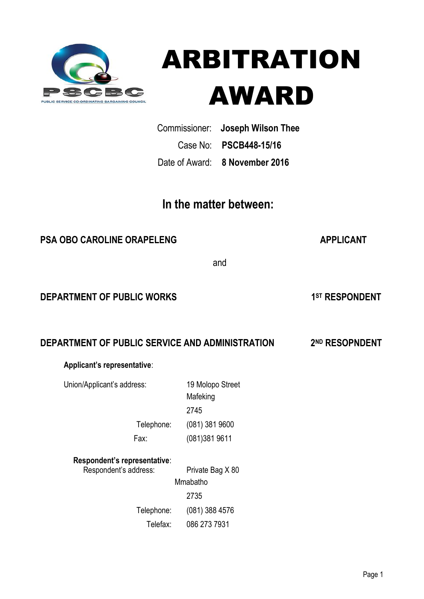



 Commissioner: **Joseph Wilson Thee** Case No: **PSCB448-15/16** Date of Award: **8 November 2016**

# **In the matter between:**

# **PSA OBO CAROLINE ORAPELENG APPLICANT**

1<sup>ST</sup> RESPONDENT

and the contract of the contract of the contract of the contract of the contract of the contract of the contract of the contract of the contract of the contract of the contract of the contract of the contract of the contra

### **DEPARTMENT OF PUBLIC WORKS**

# **DEPARTMENT OF PUBLIC SERVICE AND ADMINISTRATION 2ND RESOPNDENT**

### **Applicant's representative**:

Union/Applicant's address: 19 Molopo Street

 Mafeking <u>2745</u> Telephone: (081) 381 9600 Fax: (081)381 9611

### **Respondent's representative**:

Respondent's address: Private Bag X 80 Mmabatho 2735 Telephone: (081) 388 4576 Telefax: 086 273 7931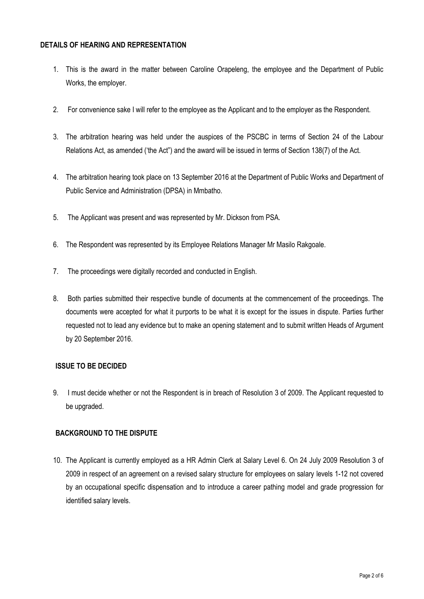#### **DETAILS OF HEARING AND REPRESENTATION**

- 1. This is the award in the matter between Caroline Orapeleng, the employee and the Department of Public Works, the employer.
- 2. For convenience sake I will refer to the employee as the Applicant and to the employer as the Respondent.
- 3. The arbitration hearing was held under the auspices of the PSCBC in terms of Section 24 of the Labour Relations Act, as amended ('the Act") and the award will be issued in terms of Section 138(7) of the Act.
- 4. The arbitration hearing took place on 13 September 2016 at the Department of Public Works and Department of Public Service and Administration (DPSA) in Mmbatho.
- 5. The Applicant was present and was represented by Mr. Dickson from PSA.
- 6. The Respondent was represented by its Employee Relations Manager Mr Masilo Rakgoale.
- 7. The proceedings were digitally recorded and conducted in English.
- 8. Both parties submitted their respective bundle of documents at the commencement of the proceedings. The documents were accepted for what it purports to be what it is except for the issues in dispute. Parties further requested not to lead any evidence but to make an opening statement and to submit written Heads of Argument by 20 September 2016.

#### **ISSUE TO BE DECIDED**

9. I must decide whether or not the Respondent is in breach of Resolution 3 of 2009. The Applicant requested to be upgraded.

#### **BACKGROUND TO THE DISPUTE**

10. The Applicant is currently employed as a HR Admin Clerk at Salary Level 6. On 24 July 2009 Resolution 3 of 2009 in respect of an agreement on a revised salary structure for employees on salary levels 1-12 not covered by an occupational specific dispensation and to introduce a career pathing model and grade progression for identified salary levels.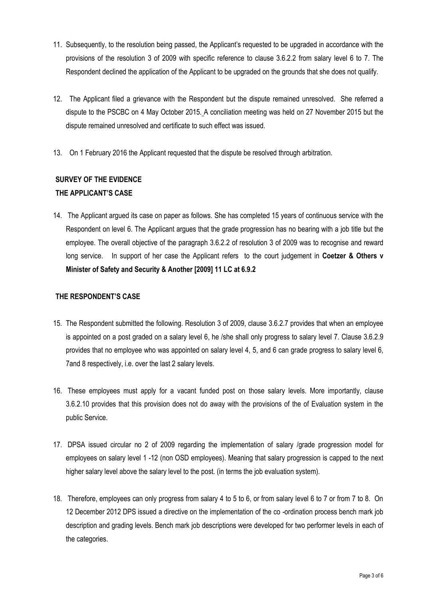- 11. Subsequently, to the resolution being passed, the Applicant's requested to be upgraded in accordance with the provisions of the resolution 3 of 2009 with specific reference to clause 3.6.2.2 from salary level 6 to 7. The Respondent declined the application of the Applicant to be upgraded on the grounds that she does not qualify.
- 12. The Applicant filed a grievance with the Respondent but the dispute remained unresolved. She referred a dispute to the PSCBC on 4 May October 2015. A conciliation meeting was held on 27 November 2015 but the dispute remained unresolved and certificate to such effect was issued.
- 13. On 1 February 2016 the Applicant requested that the dispute be resolved through arbitration.

# **SURVEY OF THE EVIDENCE THE APPLICANT'S CASE**

14. The Applicant argued its case on paper as follows. She has completed 15 years of continuous service with the Respondent on level 6. The Applicant argues that the grade progression has no bearing with a job title but the employee. The overall objective of the paragraph 3.6.2.2 of resolution 3 of 2009 was to recognise and reward long service. In support of her case the Applicant refers to the court judgement in **Coetzer & Others v Minister of Safety and Security & Another [2009] 11 LC at 6.9.2**

### **THE RESPONDENT'S CASE**

- 15. The Respondent submitted the following. Resolution 3 of 2009, clause 3.6.2.7 provides that when an employee is appointed on a post graded on a salary level 6, he /she shall only progress to salary level 7. Clause 3.6.2.9 provides that no employee who was appointed on salary level 4, 5, and 6 can grade progress to salary level 6, 7and 8 respectively, i.e. over the last 2 salary levels.
- 16. These employees must apply for a vacant funded post on those salary levels. More importantly, clause 3.6.2.10 provides that this provision does not do away with the provisions of the of Evaluation system in the public Service.
- 17. DPSA issued circular no 2 of 2009 regarding the implementation of salary /grade progression model for employees on salary level 1 -12 (non OSD employees). Meaning that salary progression is capped to the next higher salary level above the salary level to the post. (in terms the job evaluation system).
- 18. Therefore, employees can only progress from salary 4 to 5 to 6, or from salary level 6 to 7 or from 7 to 8. On 12 December 2012 DPS issued a directive on the implementation of the co -ordination process bench mark job description and grading levels. Bench mark job descriptions were developed for two performer levels in each of the categories.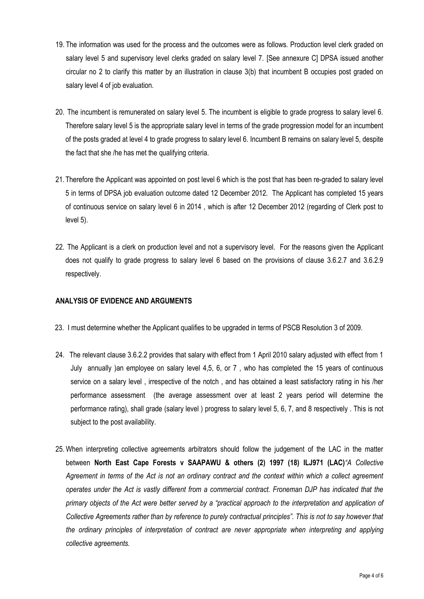- 19. The information was used for the process and the outcomes were as follows. Production level clerk graded on salary level 5 and supervisory level clerks graded on salary level 7. [See annexure C] DPSA issued another circular no 2 to clarify this matter by an illustration in clause 3(b) that incumbent B occupies post graded on salary level 4 of job evaluation.
- 20. The incumbent is remunerated on salary level 5. The incumbent is eligible to grade progress to salary level 6. Therefore salary level 5 is the appropriate salary level in terms of the grade progression model for an incumbent of the posts graded at level 4 to grade progress to salary level 6. Incumbent B remains on salary level 5, despite the fact that she /he has met the qualifying criteria.
- 21. Therefore the Applicant was appointed on post level 6 which is the post that has been re-graded to salary level 5 in terms of DPSA job evaluation outcome dated 12 December 2012. The Applicant has completed 15 years of continuous service on salary level 6 in 2014 , which is after 12 December 2012 (regarding of Clerk post to level 5).
- 22. The Applicant is a clerk on production level and not a supervisory level. For the reasons given the Applicant does not qualify to grade progress to salary level 6 based on the provisions of clause 3.6.2.7 and 3.6.2.9 respectively.

#### **ANALYSIS OF EVIDENCE AND ARGUMENTS**

- 23. I must determine whether the Applicant qualifies to be upgraded in terms of PSCB Resolution 3 of 2009.
- 24. The relevant clause 3.6.2.2 provides that salary with effect from 1 April 2010 salary adjusted with effect from 1 July annually )an employee on salary level 4,5, 6, or 7 , who has completed the 15 years of continuous service on a salary level , irrespective of the notch , and has obtained a least satisfactory rating in his /her performance assessment (the average assessment over at least 2 years period will determine the performance rating), shall grade (salary level ) progress to salary level 5, 6, 7, and 8 respectively . This is not subject to the post availability.
- 25. When interpreting collective agreements arbitrators should follow the judgement of the LAC in the matter between **North East Cape Forests v SAAPAWU & others (2) 1997 (18) ILJ971 (LAC)***"A Collective Agreement in terms of the Act is not an ordinary contract and the context within which a collect agreement operates under the Act is vastly different from a commercial contract. Froneman DJP has indicated that the primary objects of the Act were better served by a "practical approach to the interpretation and application of Collective Agreements rather than by reference to purely contractual principles". This is not to say however that the ordinary principles of interpretation of contract are never appropriate when interpreting and applying collective agreements.*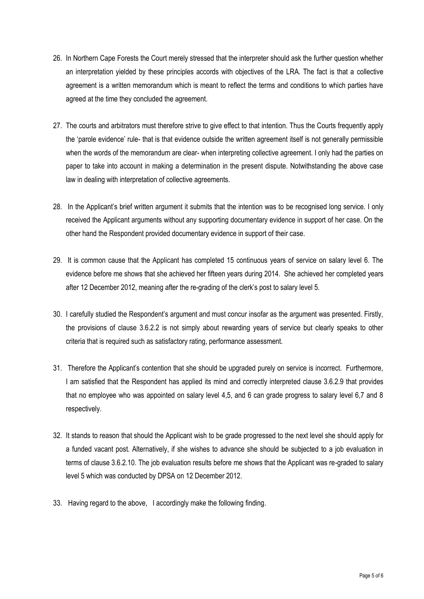- 26. In Northern Cape Forests the Court merely stressed that the interpreter should ask the further question whether an interpretation yielded by these principles accords with objectives of the LRA. The fact is that a collective agreement is a written memorandum which is meant to reflect the terms and conditions to which parties have agreed at the time they concluded the agreement.
- 27. The courts and arbitrators must therefore strive to give effect to that intention. Thus the Courts frequently apply the 'parole evidence' rule- that is that evidence outside the written agreement itself is not generally permissible when the words of the memorandum are clear- when interpreting collective agreement. I only had the parties on paper to take into account in making a determination in the present dispute. Notwithstanding the above case law in dealing with interpretation of collective agreements.
- 28. In the Applicant's brief written argument it submits that the intention was to be recognised long service. I only received the Applicant arguments without any supporting documentary evidence in support of her case. On the other hand the Respondent provided documentary evidence in support of their case.
- 29. It is common cause that the Applicant has completed 15 continuous years of service on salary level 6. The evidence before me shows that she achieved her fifteen years during 2014. She achieved her completed years after 12 December 2012, meaning after the re-grading of the clerk's post to salary level 5.
- 30. I carefully studied the Respondent's argument and must concur insofar as the argument was presented. Firstly, the provisions of clause 3.6.2.2 is not simply about rewarding years of service but clearly speaks to other criteria that is required such as satisfactory rating, performance assessment.
- 31. Therefore the Applicant's contention that she should be upgraded purely on service is incorrect. Furthermore, I am satisfied that the Respondent has applied its mind and correctly interpreted clause 3.6.2.9 that provides that no employee who was appointed on salary level 4,5, and 6 can grade progress to salary level 6,7 and 8 respectively.
- 32. It stands to reason that should the Applicant wish to be grade progressed to the next level she should apply for a funded vacant post. Alternatively, if she wishes to advance she should be subjected to a job evaluation in terms of clause 3.6.2.10. The job evaluation results before me shows that the Applicant was re-graded to salary level 5 which was conducted by DPSA on 12 December 2012.
- 33. Having regard to the above, I accordingly make the following finding.